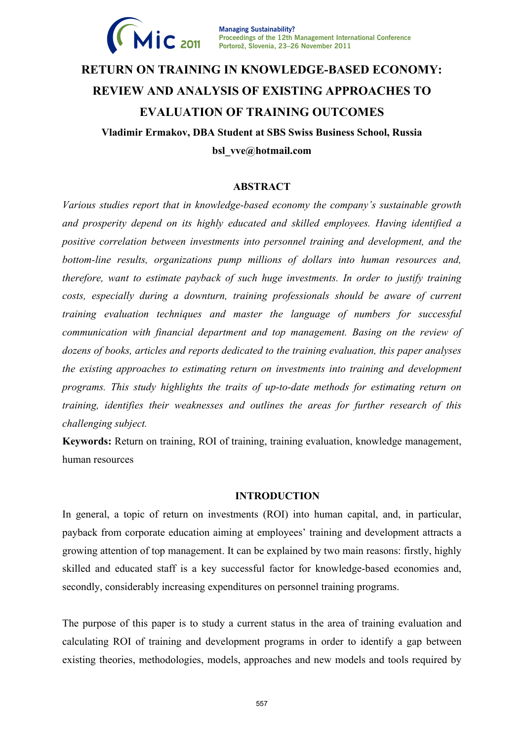

**Managing Sustainability? Proceedings of the 12th Management International Conference 2011 Portorož, Slovenia, 23–26 November 2011**

# **RETURN ON TRAINING IN KNOWLEDGE-BASED ECONOMY: REVIEW AND ANALYSIS OF EXISTING APPROACHES TO EVALUATION OF TRAINING OUTCOMES Vladimir Ermakov, DBA Student at SBS Swiss Business School, Russia**

**bsl\_vve@hotmail.com** 

# **ABSTRACT**

*Various studies report that in knowledge-based economy the company's sustainable growth and prosperity depend on its highly educated and skilled employees. Having identified a positive correlation between investments into personnel training and development, and the bottom-line results, organizations pump millions of dollars into human resources and, therefore, want to estimate payback of such huge investments. In order to justify training costs, especially during a downturn, training professionals should be aware of current training evaluation techniques and master the language of numbers for successful communication with financial department and top management. Basing on the review of dozens of books, articles and reports dedicated to the training evaluation, this paper analyses the existing approaches to estimating return on investments into training and development programs. This study highlights the traits of up-to-date methods for estimating return on training, identifies their weaknesses and outlines the areas for further research of this challenging subject.* 

**Keywords:** Return on training, ROI of training, training evaluation, knowledge management, human resources

## **INTRODUCTION**

In general, a topic of return on investments (ROI) into human capital, and, in particular, payback from corporate education aiming at employees' training and development attracts a growing attention of top management. It can be explained by two main reasons: firstly, highly skilled and educated staff is a key successful factor for knowledge-based economies and, secondly, considerably increasing expenditures on personnel training programs.

The purpose of this paper is to study a current status in the area of training evaluation and calculating ROI of training and development programs in order to identify a gap between existing theories, methodologies, models, approaches and new models and tools required by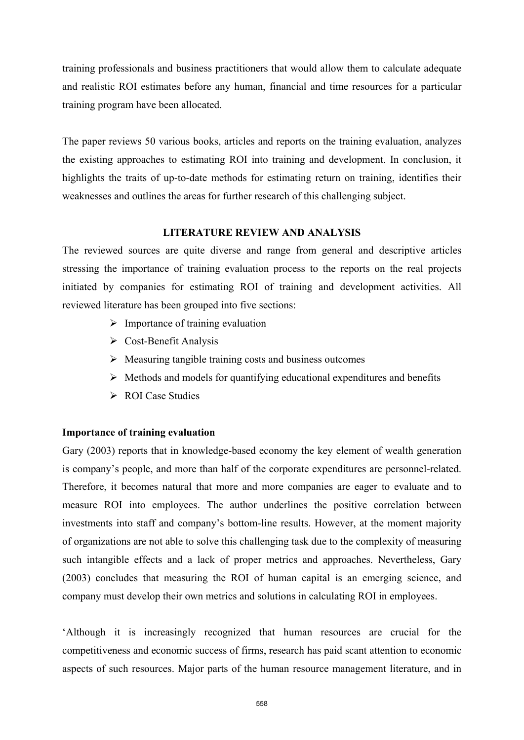training professionals and business practitioners that would allow them to calculate adequate and realistic ROI estimates before any human, financial and time resources for a particular training program have been allocated.

The paper reviews 50 various books, articles and reports on the training evaluation, analyzes the existing approaches to estimating ROI into training and development. In conclusion, it highlights the traits of up-to-date methods for estimating return on training, identifies their weaknesses and outlines the areas for further research of this challenging subject.

# **LITERATURE REVIEW AND ANALYSIS**

The reviewed sources are quite diverse and range from general and descriptive articles stressing the importance of training evaluation process to the reports on the real projects initiated by companies for estimating ROI of training and development activities. All reviewed literature has been grouped into five sections:

- $\triangleright$  Importance of training evaluation
- $\triangleright$  Cost-Benefit Analysis
- $\triangleright$  Measuring tangible training costs and business outcomes
- $\triangleright$  Methods and models for quantifying educational expenditures and benefits
- $\triangleright$  ROI Case Studies

# **Importance of training evaluation**

Gary (2003) reports that in knowledge-based economy the key element of wealth generation is company's people, and more than half of the corporate expenditures are personnel-related. Therefore, it becomes natural that more and more companies are eager to evaluate and to measure ROI into employees. The author underlines the positive correlation between investments into staff and company's bottom-line results. However, at the moment majority of organizations are not able to solve this challenging task due to the complexity of measuring such intangible effects and a lack of proper metrics and approaches. Nevertheless, Gary (2003) concludes that measuring the ROI of human capital is an emerging science, and company must develop their own metrics and solutions in calculating ROI in employees.

'Although it is increasingly recognized that human resources are crucial for the competitiveness and economic success of firms, research has paid scant attention to economic aspects of such resources. Major parts of the human resource management literature, and in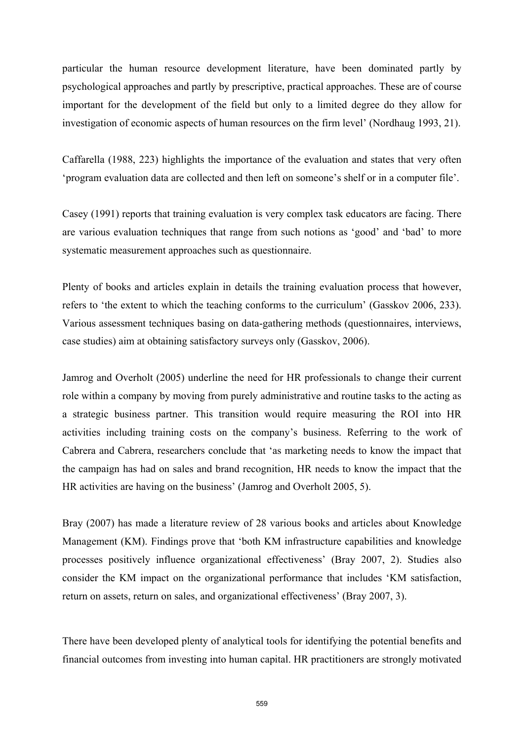particular the human resource development literature, have been dominated partly by psychological approaches and partly by prescriptive, practical approaches. These are of course important for the development of the field but only to a limited degree do they allow for investigation of economic aspects of human resources on the firm level' (Nordhaug 1993, 21).

Caffarella (1988, 223) highlights the importance of the evaluation and states that very often 'program evaluation data are collected and then left on someone's shelf or in a computer file'.

Casey (1991) reports that training evaluation is very complex task educators are facing. There are various evaluation techniques that range from such notions as 'good' and 'bad' to more systematic measurement approaches such as questionnaire.

Plenty of books and articles explain in details the training evaluation process that however, refers to 'the extent to which the teaching conforms to the curriculum' (Gasskov 2006, 233). Various assessment techniques basing on data-gathering methods (questionnaires, interviews, case studies) aim at obtaining satisfactory surveys only (Gasskov, 2006).

Jamrog and Overholt (2005) underline the need for HR professionals to change their current role within a company by moving from purely administrative and routine tasks to the acting as a strategic business partner. This transition would require measuring the ROI into HR activities including training costs on the company's business. Referring to the work of Cabrera and Cabrera, researchers conclude that 'as marketing needs to know the impact that the campaign has had on sales and brand recognition, HR needs to know the impact that the HR activities are having on the business' (Jamrog and Overholt 2005, 5).

Bray (2007) has made a literature review of 28 various books and articles about Knowledge Management (KM). Findings prove that 'both KM infrastructure capabilities and knowledge processes positively influence organizational effectiveness' (Bray 2007, 2). Studies also consider the KM impact on the organizational performance that includes 'KM satisfaction, return on assets, return on sales, and organizational effectiveness' (Bray 2007, 3).

There have been developed plenty of analytical tools for identifying the potential benefits and financial outcomes from investing into human capital. HR practitioners are strongly motivated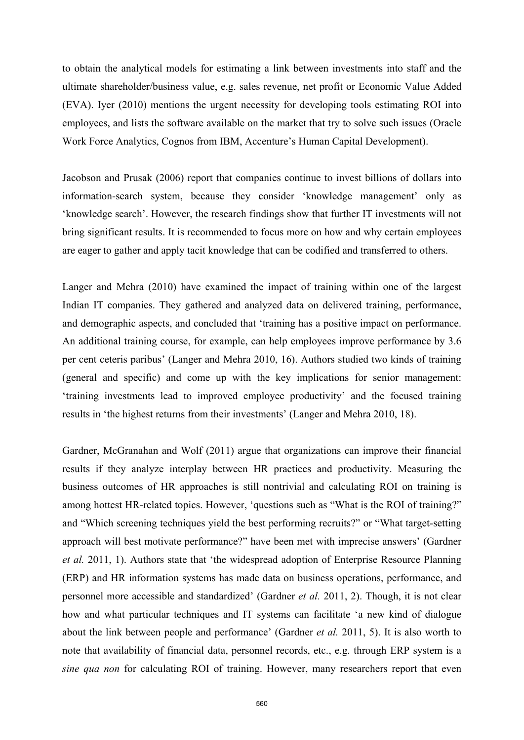to obtain the analytical models for estimating a link between investments into staff and the ultimate shareholder/business value, e.g. sales revenue, net profit or Economic Value Added (EVA). Iyer (2010) mentions the urgent necessity for developing tools estimating ROI into employees, and lists the software available on the market that try to solve such issues (Oracle Work Force Analytics, Cognos from IBM, Accenture's Human Capital Development).

Jacobson and Prusak (2006) report that companies continue to invest billions of dollars into information-search system, because they consider 'knowledge management' only as 'knowledge search'. However, the research findings show that further IT investments will not bring significant results. It is recommended to focus more on how and why certain employees are eager to gather and apply tacit knowledge that can be codified and transferred to others.

Langer and Mehra (2010) have examined the impact of training within one of the largest Indian IT companies. They gathered and analyzed data on delivered training, performance, and demographic aspects, and concluded that 'training has a positive impact on performance. An additional training course, for example, can help employees improve performance by 3.6 per cent ceteris paribus' (Langer and Mehra 2010, 16). Authors studied two kinds of training (general and specific) and come up with the key implications for senior management: 'training investments lead to improved employee productivity' and the focused training results in 'the highest returns from their investments' (Langer and Mehra 2010, 18).

Gardner, McGranahan and Wolf (2011) argue that organizations can improve their financial results if they analyze interplay between HR practices and productivity. Measuring the business outcomes of HR approaches is still nontrivial and calculating ROI on training is among hottest HR-related topics. However, 'questions such as "What is the ROI of training?" and "Which screening techniques yield the best performing recruits?" or "What target-setting approach will best motivate performance?" have been met with imprecise answers' (Gardner *et al.* 2011, 1). Authors state that 'the widespread adoption of Enterprise Resource Planning (ERP) and HR information systems has made data on business operations, performance, and personnel more accessible and standardized' (Gardner *et al.* 2011, 2). Though, it is not clear how and what particular techniques and IT systems can facilitate 'a new kind of dialogue about the link between people and performance' (Gardner *et al.* 2011, 5). It is also worth to note that availability of financial data, personnel records, etc., e.g. through ERP system is a *sine qua non* for calculating ROI of training. However, many researchers report that even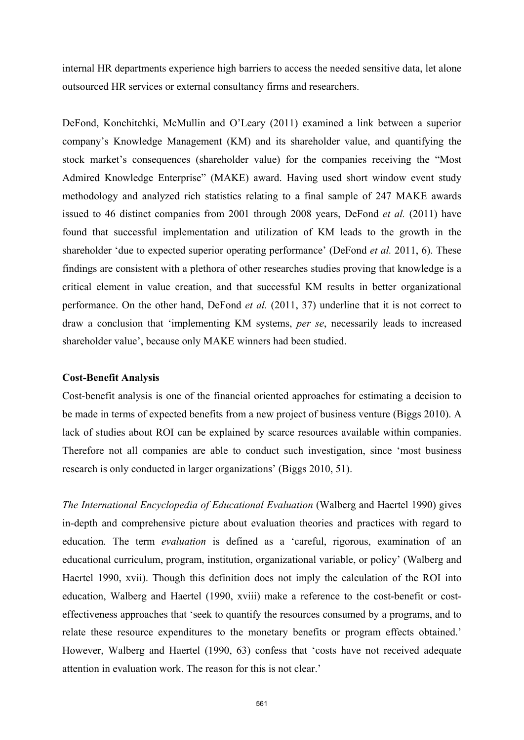internal HR departments experience high barriers to access the needed sensitive data, let alone outsourced HR services or external consultancy firms and researchers.

DeFond, Konchitchki, McMullin and O'Leary (2011) examined a link between a superior company's Knowledge Management (KM) and its shareholder value, and quantifying the stock market's consequences (shareholder value) for the companies receiving the "Most Admired Knowledge Enterprise" (MAKE) award. Having used short window event study methodology and analyzed rich statistics relating to a final sample of 247 MAKE awards issued to 46 distinct companies from 2001 through 2008 years, DeFond *et al.* (2011) have found that successful implementation and utilization of KM leads to the growth in the shareholder 'due to expected superior operating performance' (DeFond *et al.* 2011, 6). These findings are consistent with a plethora of other researches studies proving that knowledge is a critical element in value creation, and that successful KM results in better organizational performance. On the other hand, DeFond *et al.* (2011, 37) underline that it is not correct to draw a conclusion that 'implementing KM systems, *per se*, necessarily leads to increased shareholder value', because only MAKE winners had been studied.

## **Cost-Benefit Analysis**

Cost-benefit analysis is one of the financial oriented approaches for estimating a decision to be made in terms of expected benefits from a new project of business venture (Biggs 2010). A lack of studies about ROI can be explained by scarce resources available within companies. Therefore not all companies are able to conduct such investigation, since 'most business research is only conducted in larger organizations' (Biggs 2010, 51).

*The International Encyclopedia of Educational Evaluation* (Walberg and Haertel 1990) gives in-depth and comprehensive picture about evaluation theories and practices with regard to education. The term *evaluation* is defined as a 'careful, rigorous, examination of an educational curriculum, program, institution, organizational variable, or policy' (Walberg and Haertel 1990, xvii). Though this definition does not imply the calculation of the ROI into education, Walberg and Haertel (1990, xviii) make a reference to the cost-benefit or costeffectiveness approaches that 'seek to quantify the resources consumed by a programs, and to relate these resource expenditures to the monetary benefits or program effects obtained.' However, Walberg and Haertel (1990, 63) confess that 'costs have not received adequate attention in evaluation work. The reason for this is not clear.'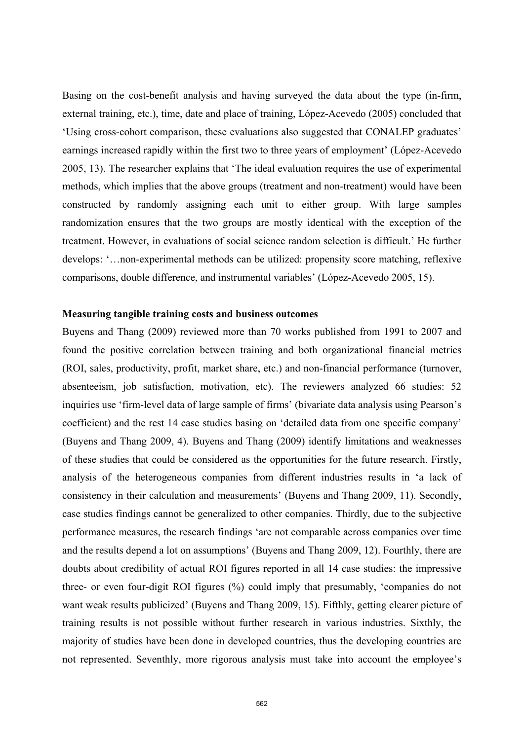Basing on the cost-benefit analysis and having surveyed the data about the type (in-firm, external training, etc.), time, date and place of training, López-Acevedo (2005) concluded that 'Using cross-cohort comparison, these evaluations also suggested that CONALEP graduates' earnings increased rapidly within the first two to three years of employment' (López-Acevedo 2005, 13). The researcher explains that 'The ideal evaluation requires the use of experimental methods, which implies that the above groups (treatment and non-treatment) would have been constructed by randomly assigning each unit to either group. With large samples randomization ensures that the two groups are mostly identical with the exception of the treatment. However, in evaluations of social science random selection is difficult.' He further develops: '…non-experimental methods can be utilized: propensity score matching, reflexive comparisons, double difference, and instrumental variables' (López-Acevedo 2005, 15).

# **Measuring tangible training costs and business outcomes**

Buyens and Thang (2009) reviewed more than 70 works published from 1991 to 2007 and found the positive correlation between training and both organizational financial metrics (ROI, sales, productivity, profit, market share, etc.) and non-financial performance (turnover, absenteeism, job satisfaction, motivation, etc). The reviewers analyzed 66 studies: 52 inquiries use 'firm-level data of large sample of firms' (bivariate data analysis using Pearson's coefficient) and the rest 14 case studies basing on 'detailed data from one specific company' (Buyens and Thang 2009, 4). Buyens and Thang (2009) identify limitations and weaknesses of these studies that could be considered as the opportunities for the future research. Firstly, analysis of the heterogeneous companies from different industries results in 'a lack of consistency in their calculation and measurements' (Buyens and Thang 2009, 11). Secondly, case studies findings cannot be generalized to other companies. Thirdly, due to the subjective performance measures, the research findings 'are not comparable across companies over time and the results depend a lot on assumptions' (Buyens and Thang 2009, 12). Fourthly, there are doubts about credibility of actual ROI figures reported in all 14 case studies: the impressive three- or even four-digit ROI figures (%) could imply that presumably, 'companies do not want weak results publicized' (Buyens and Thang 2009, 15). Fifthly, getting clearer picture of training results is not possible without further research in various industries. Sixthly, the majority of studies have been done in developed countries, thus the developing countries are not represented. Seventhly, more rigorous analysis must take into account the employee's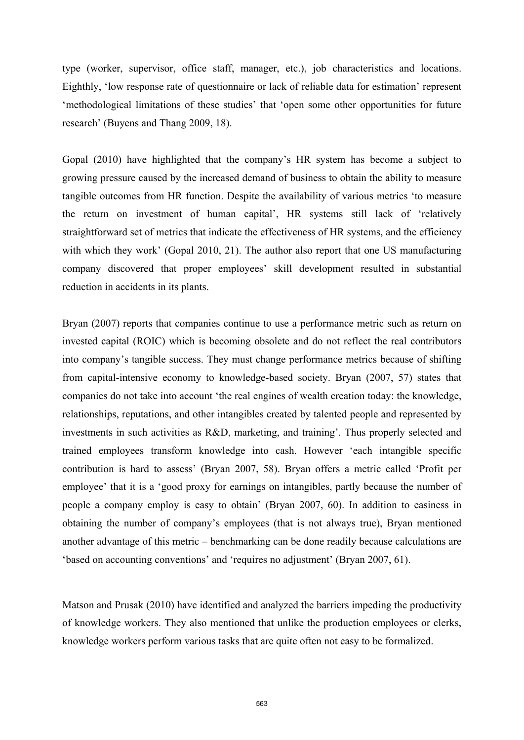type (worker, supervisor, office staff, manager, etc.), job characteristics and locations. Eighthly, 'low response rate of questionnaire or lack of reliable data for estimation' represent 'methodological limitations of these studies' that 'open some other opportunities for future research' (Buyens and Thang 2009, 18).

Gopal (2010) have highlighted that the company's HR system has become a subject to growing pressure caused by the increased demand of business to obtain the ability to measure tangible outcomes from HR function. Despite the availability of various metrics 'to measure the return on investment of human capital', HR systems still lack of 'relatively straightforward set of metrics that indicate the effectiveness of HR systems, and the efficiency with which they work' (Gopal 2010, 21). The author also report that one US manufacturing company discovered that proper employees' skill development resulted in substantial reduction in accidents in its plants.

Bryan (2007) reports that companies continue to use a performance metric such as return on invested capital (ROIC) which is becoming obsolete and do not reflect the real contributors into company's tangible success. They must change performance metrics because of shifting from capital-intensive economy to knowledge-based society. Bryan (2007, 57) states that companies do not take into account 'the real engines of wealth creation today: the knowledge, relationships, reputations, and other intangibles created by talented people and represented by investments in such activities as R&D, marketing, and training'. Thus properly selected and trained employees transform knowledge into cash. However 'each intangible specific contribution is hard to assess' (Bryan 2007, 58). Bryan offers a metric called 'Profit per employee' that it is a 'good proxy for earnings on intangibles, partly because the number of people a company employ is easy to obtain' (Bryan 2007, 60). In addition to easiness in obtaining the number of company's employees (that is not always true), Bryan mentioned another advantage of this metric – benchmarking can be done readily because calculations are 'based on accounting conventions' and 'requires no adjustment' (Bryan 2007, 61).

Matson and Prusak (2010) have identified and analyzed the barriers impeding the productivity of knowledge workers. They also mentioned that unlike the production employees or clerks, knowledge workers perform various tasks that are quite often not easy to be formalized.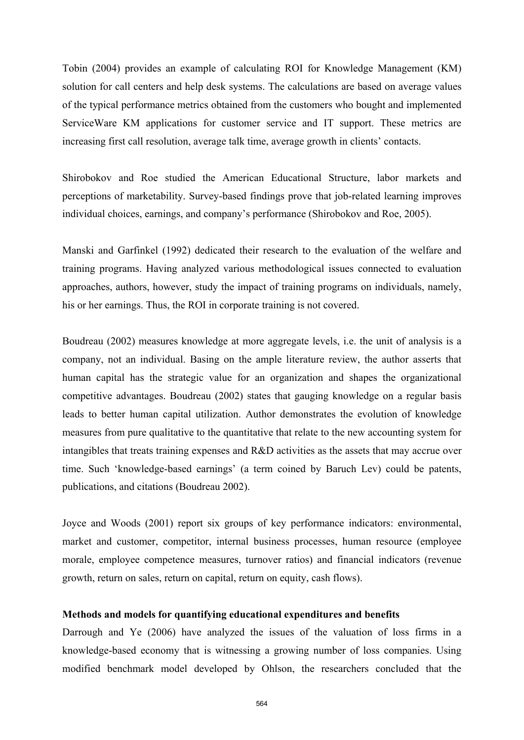Tobin (2004) provides an example of calculating ROI for Knowledge Management (KM) solution for call centers and help desk systems. The calculations are based on average values of the typical performance metrics obtained from the customers who bought and implemented ServiceWare KM applications for customer service and IT support. These metrics are increasing first call resolution, average talk time, average growth in clients' contacts.

Shirobokov and Roe studied the American Educational Structure, labor markets and perceptions of marketability. Survey-based findings prove that job-related learning improves individual choices, earnings, and company's performance (Shirobokov and Roe, 2005).

Manski and Garfinkel (1992) dedicated their research to the evaluation of the welfare and training programs. Having analyzed various methodological issues connected to evaluation approaches, authors, however, study the impact of training programs on individuals, namely, his or her earnings. Thus, the ROI in corporate training is not covered.

Boudreau (2002) measures knowledge at more aggregate levels, i.e. the unit of analysis is a company, not an individual. Basing on the ample literature review, the author asserts that human capital has the strategic value for an organization and shapes the organizational competitive advantages. Boudreau (2002) states that gauging knowledge on a regular basis leads to better human capital utilization. Author demonstrates the evolution of knowledge measures from pure qualitative to the quantitative that relate to the new accounting system for intangibles that treats training expenses and R&D activities as the assets that may accrue over time. Such 'knowledge-based earnings' (a term coined by Baruch Lev) could be patents, publications, and citations (Boudreau 2002).

Joyce and Woods (2001) report six groups of key performance indicators: environmental, market and customer, competitor, internal business processes, human resource (employee morale, employee competence measures, turnover ratios) and financial indicators (revenue growth, return on sales, return on capital, return on equity, cash flows).

# **Methods and models for quantifying educational expenditures and benefits**

Darrough and Ye (2006) have analyzed the issues of the valuation of loss firms in a knowledge-based economy that is witnessing a growing number of loss companies. Using modified benchmark model developed by Ohlson, the researchers concluded that the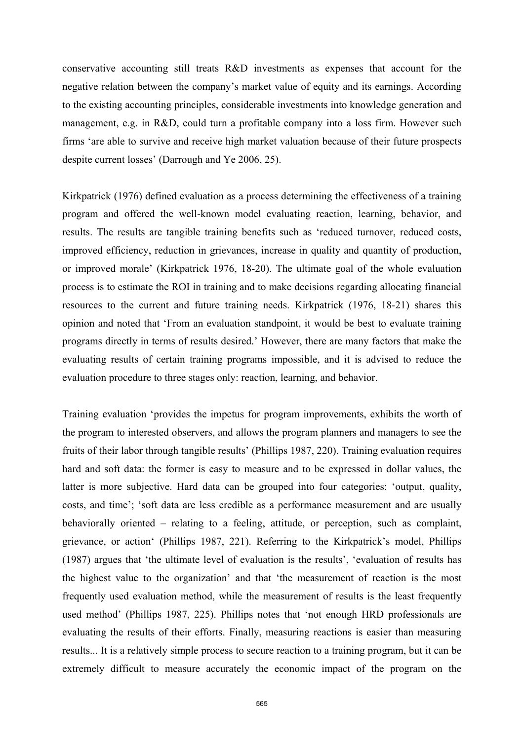conservative accounting still treats R&D investments as expenses that account for the negative relation between the company's market value of equity and its earnings. According to the existing accounting principles, considerable investments into knowledge generation and management, e.g. in R&D, could turn a profitable company into a loss firm. However such firms 'are able to survive and receive high market valuation because of their future prospects despite current losses' (Darrough and Ye 2006, 25).

Kirkpatrick (1976) defined evaluation as a process determining the effectiveness of a training program and offered the well-known model evaluating reaction, learning, behavior, and results. The results are tangible training benefits such as 'reduced turnover, reduced costs, improved efficiency, reduction in grievances, increase in quality and quantity of production, or improved morale' (Kirkpatrick 1976, 18-20). The ultimate goal of the whole evaluation process is to estimate the ROI in training and to make decisions regarding allocating financial resources to the current and future training needs. Kirkpatrick (1976, 18-21) shares this opinion and noted that 'From an evaluation standpoint, it would be best to evaluate training programs directly in terms of results desired.' However, there are many factors that make the evaluating results of certain training programs impossible, and it is advised to reduce the evaluation procedure to three stages only: reaction, learning, and behavior.

Training evaluation 'provides the impetus for program improvements, exhibits the worth of the program to interested observers, and allows the program planners and managers to see the fruits of their labor through tangible results' (Phillips 1987, 220). Training evaluation requires hard and soft data: the former is easy to measure and to be expressed in dollar values, the latter is more subjective. Hard data can be grouped into four categories: 'output, quality, costs, and time'; 'soft data are less credible as a performance measurement and are usually behaviorally oriented – relating to a feeling, attitude, or perception, such as complaint, grievance, or action' (Phillips 1987, 221). Referring to the Kirkpatrick's model, Phillips (1987) argues that 'the ultimate level of evaluation is the results', 'evaluation of results has the highest value to the organization' and that 'the measurement of reaction is the most frequently used evaluation method, while the measurement of results is the least frequently used method' (Phillips 1987, 225). Phillips notes that 'not enough HRD professionals are evaluating the results of their efforts. Finally, measuring reactions is easier than measuring results... It is a relatively simple process to secure reaction to a training program, but it can be extremely difficult to measure accurately the economic impact of the program on the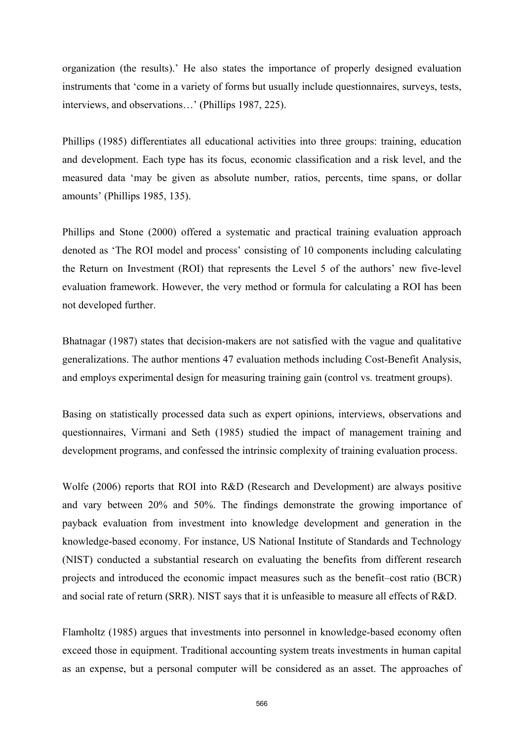organization (the results).' He also states the importance of properly designed evaluation instruments that 'come in a variety of forms but usually include questionnaires, surveys, tests, interviews, and observations…' (Phillips 1987, 225).

Phillips (1985) differentiates all educational activities into three groups: training, education and development. Each type has its focus, economic classification and a risk level, and the measured data 'may be given as absolute number, ratios, percents, time spans, or dollar amounts' (Phillips 1985, 135).

Phillips and Stone (2000) offered a systematic and practical training evaluation approach denoted as 'The ROI model and process' consisting of 10 components including calculating the Return on Investment (ROI) that represents the Level 5 of the authors' new five-level evaluation framework. However, the very method or formula for calculating a ROI has been not developed further.

Bhatnagar (1987) states that decision-makers are not satisfied with the vague and qualitative generalizations. The author mentions 47 evaluation methods including Cost-Benefit Analysis, and employs experimental design for measuring training gain (control vs. treatment groups).

Basing on statistically processed data such as expert opinions, interviews, observations and questionnaires, Virmani and Seth (1985) studied the impact of management training and development programs, and confessed the intrinsic complexity of training evaluation process.

Wolfe (2006) reports that ROI into R&D (Research and Development) are always positive and vary between 20% and 50%. The findings demonstrate the growing importance of payback evaluation from investment into knowledge development and generation in the knowledge-based economy. For instance, US National Institute of Standards and Technology (NIST) conducted a substantial research on evaluating the benefits from different research projects and introduced the economic impact measures such as the benefit–cost ratio (BCR) and social rate of return (SRR). NIST says that it is unfeasible to measure all effects of R&D.

Flamholtz (1985) argues that investments into personnel in knowledge-based economy often exceed those in equipment. Traditional accounting system treats investments in human capital as an expense, but a personal computer will be considered as an asset. The approaches of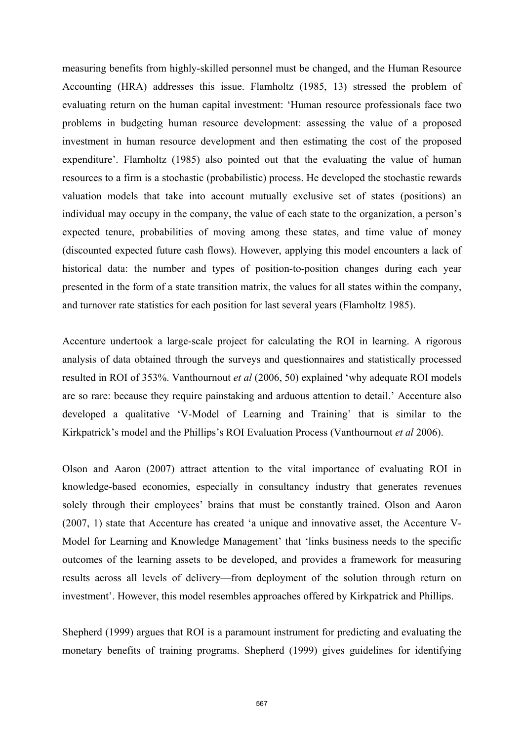measuring benefits from highly-skilled personnel must be changed, and the Human Resource Accounting (HRA) addresses this issue. Flamholtz (1985, 13) stressed the problem of evaluating return on the human capital investment: 'Human resource professionals face two problems in budgeting human resource development: assessing the value of a proposed investment in human resource development and then estimating the cost of the proposed expenditure'. Flamholtz (1985) also pointed out that the evaluating the value of human resources to a firm is a stochastic (probabilistic) process. He developed the stochastic rewards valuation models that take into account mutually exclusive set of states (positions) an individual may occupy in the company, the value of each state to the organization, a person's expected tenure, probabilities of moving among these states, and time value of money (discounted expected future cash flows). However, applying this model encounters a lack of historical data: the number and types of position-to-position changes during each year presented in the form of a state transition matrix, the values for all states within the company, and turnover rate statistics for each position for last several years (Flamholtz 1985).

Accenture undertook a large-scale project for calculating the ROI in learning. A rigorous analysis of data obtained through the surveys and questionnaires and statistically processed resulted in ROI of 353%. Vanthournout *et al* (2006, 50) explained 'why adequate ROI models are so rare: because they require painstaking and arduous attention to detail.' Accenture also developed a qualitative 'V-Model of Learning and Training' that is similar to the Kirkpatrick's model and the Phillips's ROI Evaluation Process (Vanthournout *et al* 2006).

Olson and Aaron (2007) attract attention to the vital importance of evaluating ROI in knowledge-based economies, especially in consultancy industry that generates revenues solely through their employees' brains that must be constantly trained. Olson and Aaron (2007, 1) state that Accenture has created 'a unique and innovative asset, the Accenture V-Model for Learning and Knowledge Management' that 'links business needs to the specific outcomes of the learning assets to be developed, and provides a framework for measuring results across all levels of delivery—from deployment of the solution through return on investment'. However, this model resembles approaches offered by Kirkpatrick and Phillips.

Shepherd (1999) argues that ROI is a paramount instrument for predicting and evaluating the monetary benefits of training programs. Shepherd (1999) gives guidelines for identifying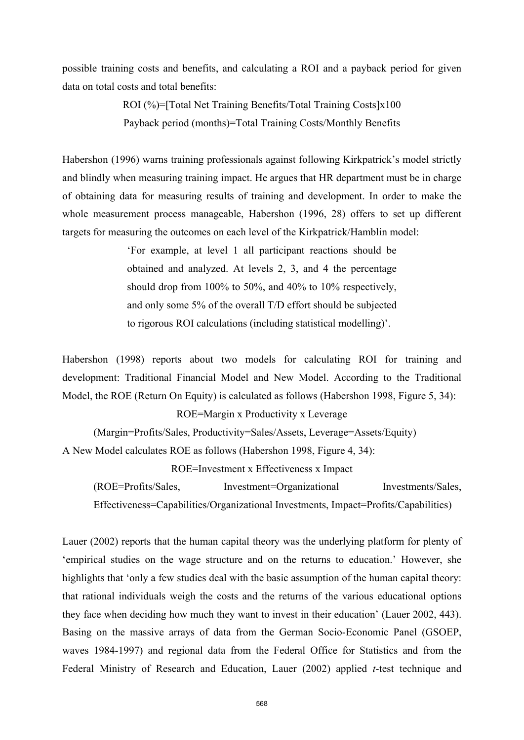possible training costs and benefits, and calculating a ROI and a payback period for given data on total costs and total benefits:

> ROI (%)=[Total Net Training Benefits/Total Training Costs]x100 Payback period (months)=Total Training Costs/Monthly Benefits

Habershon (1996) warns training professionals against following Kirkpatrick's model strictly and blindly when measuring training impact. He argues that HR department must be in charge of obtaining data for measuring results of training and development. In order to make the whole measurement process manageable, Habershon (1996, 28) offers to set up different targets for measuring the outcomes on each level of the Kirkpatrick/Hamblin model:

> 'For example, at level 1 all participant reactions should be obtained and analyzed. At levels 2, 3, and 4 the percentage should drop from 100% to 50%, and 40% to 10% respectively, and only some 5% of the overall T/D effort should be subjected to rigorous ROI calculations (including statistical modelling)'.

Habershon (1998) reports about two models for calculating ROI for training and development: Traditional Financial Model and New Model. According to the Traditional Model, the ROE (Return On Equity) is calculated as follows (Habershon 1998, Figure 5, 34):

ROE=Margin x Productivity x Leverage

(Margin=Profits/Sales, Productivity=Sales/Assets, Leverage=Assets/Equity)

A New Model calculates ROE as follows (Habershon 1998, Figure 4, 34):

ROE=Investment x Effectiveness x Impact

(ROE=Profits/Sales, Investment=Organizational Investments/Sales, Effectiveness=Capabilities/Organizational Investments, Impact=Profits/Capabilities)

Lauer (2002) reports that the human capital theory was the underlying platform for plenty of 'empirical studies on the wage structure and on the returns to education.' However, she highlights that 'only a few studies deal with the basic assumption of the human capital theory: that rational individuals weigh the costs and the returns of the various educational options they face when deciding how much they want to invest in their education' (Lauer 2002, 443). Basing on the massive arrays of data from the German Socio-Economic Panel (GSOEP, waves 1984-1997) and regional data from the Federal Office for Statistics and from the Federal Ministry of Research and Education, Lauer (2002) applied *t*-test technique and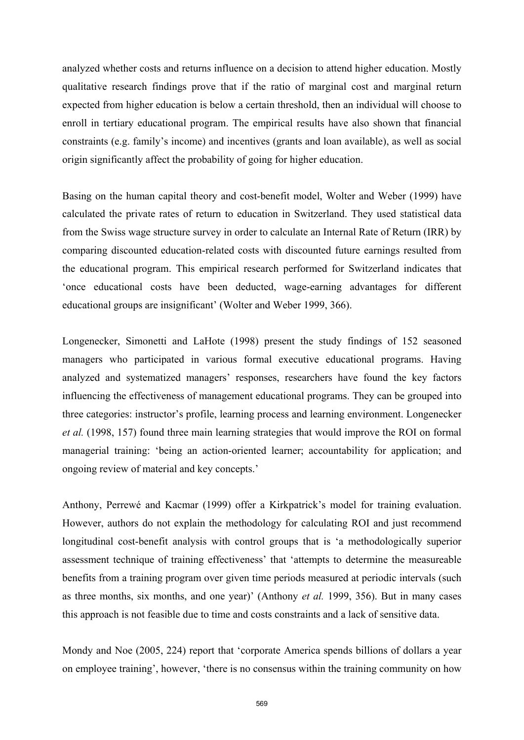analyzed whether costs and returns influence on a decision to attend higher education. Mostly qualitative research findings prove that if the ratio of marginal cost and marginal return expected from higher education is below a certain threshold, then an individual will choose to enroll in tertiary educational program. The empirical results have also shown that financial constraints (e.g. family's income) and incentives (grants and loan available), as well as social origin significantly affect the probability of going for higher education.

Basing on the human capital theory and cost-benefit model, Wolter and Weber (1999) have calculated the private rates of return to education in Switzerland. They used statistical data from the Swiss wage structure survey in order to calculate an Internal Rate of Return (IRR) by comparing discounted education-related costs with discounted future earnings resulted from the educational program. This empirical research performed for Switzerland indicates that 'once educational costs have been deducted, wage-earning advantages for different educational groups are insignificant' (Wolter and Weber 1999, 366).

Longenecker, Simonetti and LaHote (1998) present the study findings of 152 seasoned managers who participated in various formal executive educational programs. Having analyzed and systematized managers' responses, researchers have found the key factors influencing the effectiveness of management educational programs. They can be grouped into three categories: instructor's profile, learning process and learning environment. Longenecker *et al.* (1998, 157) found three main learning strategies that would improve the ROI on formal managerial training: 'being an action-oriented learner; accountability for application; and ongoing review of material and key concepts.'

Anthony, Perrewé and Kacmar (1999) offer a Kirkpatrick's model for training evaluation. However, authors do not explain the methodology for calculating ROI and just recommend longitudinal cost-benefit analysis with control groups that is 'a methodologically superior assessment technique of training effectiveness' that 'attempts to determine the measureable benefits from a training program over given time periods measured at periodic intervals (such as three months, six months, and one year)' (Anthony *et al.* 1999, 356). But in many cases this approach is not feasible due to time and costs constraints and a lack of sensitive data.

Mondy and Noe (2005, 224) report that 'corporate America spends billions of dollars a year on employee training', however, 'there is no consensus within the training community on how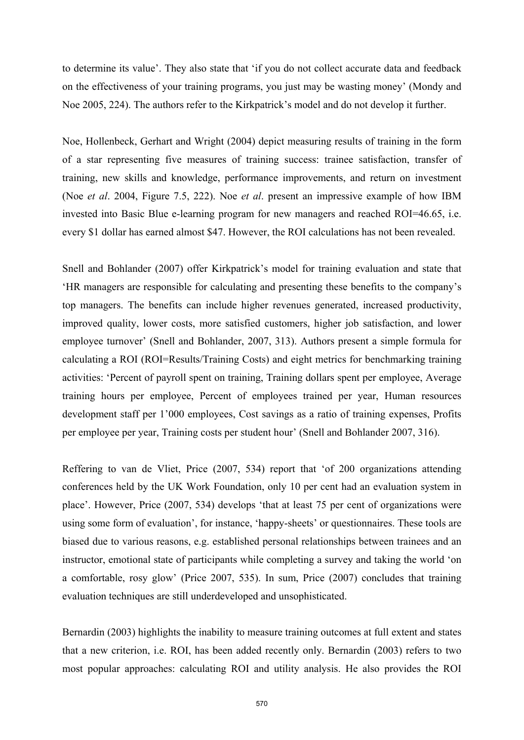to determine its value'. They also state that 'if you do not collect accurate data and feedback on the effectiveness of your training programs, you just may be wasting money' (Mondy and Noe 2005, 224). The authors refer to the Kirkpatrick's model and do not develop it further.

Noe, Hollenbeck, Gerhart and Wright (2004) depict measuring results of training in the form of a star representing five measures of training success: trainee satisfaction, transfer of training, new skills and knowledge, performance improvements, and return on investment (Noe *et al*. 2004, Figure 7.5, 222). Noe *et al*. present an impressive example of how IBM invested into Basic Blue e-learning program for new managers and reached ROI=46.65, i.e. every \$1 dollar has earned almost \$47. However, the ROI calculations has not been revealed.

Snell and Bohlander (2007) offer Kirkpatrick's model for training evaluation and state that 'HR managers are responsible for calculating and presenting these benefits to the company's top managers. The benefits can include higher revenues generated, increased productivity, improved quality, lower costs, more satisfied customers, higher job satisfaction, and lower employee turnover' (Snell and Bohlander, 2007, 313). Authors present a simple formula for calculating a ROI (ROI=Results/Training Costs) and eight metrics for benchmarking training activities: 'Percent of payroll spent on training, Training dollars spent per employee, Average training hours per employee, Percent of employees trained per year, Human resources development staff per 1'000 employees, Cost savings as a ratio of training expenses, Profits per employee per year, Training costs per student hour' (Snell and Bohlander 2007, 316).

Reffering to van de Vliet, Price (2007, 534) report that 'of 200 organizations attending conferences held by the UK Work Foundation, only 10 per cent had an evaluation system in place'. However, Price (2007, 534) develops 'that at least 75 per cent of organizations were using some form of evaluation', for instance, 'happy-sheets' or questionnaires. These tools are biased due to various reasons, e.g. established personal relationships between trainees and an instructor, emotional state of participants while completing a survey and taking the world 'on a comfortable, rosy glow' (Price 2007, 535). In sum, Price (2007) concludes that training evaluation techniques are still underdeveloped and unsophisticated.

Bernardin (2003) highlights the inability to measure training outcomes at full extent and states that a new criterion, i.e. ROI, has been added recently only. Bernardin (2003) refers to two most popular approaches: calculating ROI and utility analysis. He also provides the ROI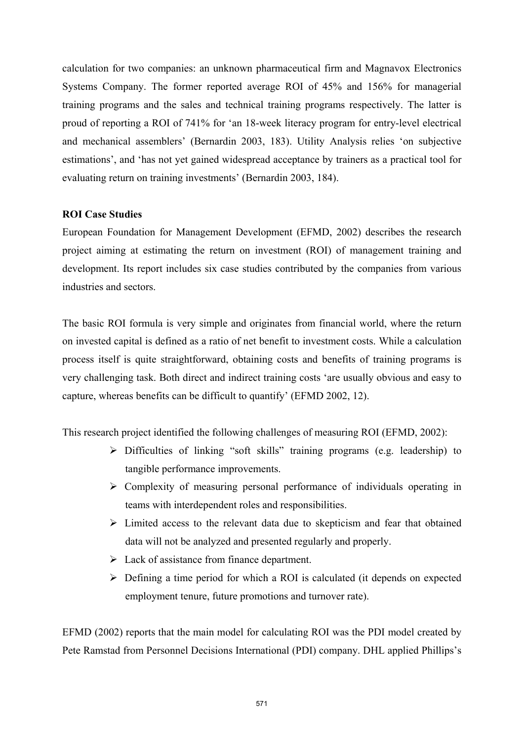calculation for two companies: an unknown pharmaceutical firm and Magnavox Electronics Systems Company. The former reported average ROI of 45% and 156% for managerial training programs and the sales and technical training programs respectively. The latter is proud of reporting a ROI of 741% for 'an 18-week literacy program for entry-level electrical and mechanical assemblers' (Bernardin 2003, 183). Utility Analysis relies 'on subjective estimations', and 'has not yet gained widespread acceptance by trainers as a practical tool for evaluating return on training investments' (Bernardin 2003, 184).

# **ROI Case Studies**

European Foundation for Management Development (EFMD, 2002) describes the research project aiming at estimating the return on investment (ROI) of management training and development. Its report includes six case studies contributed by the companies from various industries and sectors.

The basic ROI formula is very simple and originates from financial world, where the return on invested capital is defined as a ratio of net benefit to investment costs. While a calculation process itself is quite straightforward, obtaining costs and benefits of training programs is very challenging task. Both direct and indirect training costs 'are usually obvious and easy to capture, whereas benefits can be difficult to quantify' (EFMD 2002, 12).

This research project identified the following challenges of measuring ROI (EFMD, 2002):

- $\triangleright$  Difficulties of linking "soft skills" training programs (e.g. leadership) to tangible performance improvements.
- $\triangleright$  Complexity of measuring personal performance of individuals operating in teams with interdependent roles and responsibilities.
- $\triangleright$  Limited access to the relevant data due to skepticism and fear that obtained data will not be analyzed and presented regularly and properly.
- $\triangleright$  Lack of assistance from finance department.
- $\triangleright$  Defining a time period for which a ROI is calculated (it depends on expected employment tenure, future promotions and turnover rate).

EFMD (2002) reports that the main model for calculating ROI was the PDI model created by Pete Ramstad from Personnel Decisions International (PDI) company. DHL applied Phillips's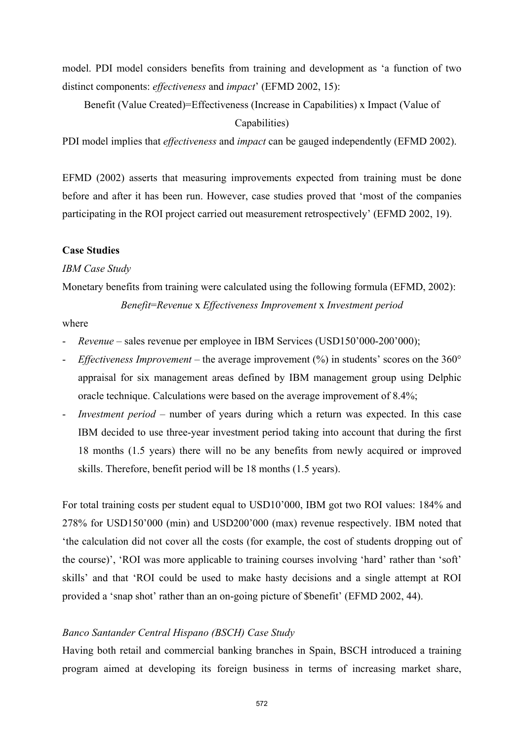model. PDI model considers benefits from training and development as 'a function of two distinct components: *effectiveness* and *impact*' (EFMD 2002, 15):

Benefit (Value Created)=Effectiveness (Increase in Capabilities) x Impact (Value of Capabilities)

PDI model implies that *effectiveness* and *impact* can be gauged independently (EFMD 2002).

EFMD (2002) asserts that measuring improvements expected from training must be done before and after it has been run. However, case studies proved that 'most of the companies participating in the ROI project carried out measurement retrospectively' (EFMD 2002, 19).

## **Case Studies**

#### *IBM Case Study*

Monetary benefits from training were calculated using the following formula (EFMD, 2002): *Benefit*=*Revenue* x *Effectiveness Improvement* x *Investment period*

#### where

- *Revenue* sales revenue per employee in IBM Services (USD150'000-200'000);
- *Effectiveness Improvement* the average improvement (%) in students' scores on the 360° appraisal for six management areas defined by IBM management group using Delphic oracle technique. Calculations were based on the average improvement of 8.4%;
- *Investment period –* number of years during which a return was expected. In this case IBM decided to use three-year investment period taking into account that during the first 18 months (1.5 years) there will no be any benefits from newly acquired or improved skills. Therefore, benefit period will be 18 months (1.5 years).

For total training costs per student equal to USD10'000, IBM got two ROI values: 184% and 278% for USD150'000 (min) and USD200'000 (max) revenue respectively. IBM noted that 'the calculation did not cover all the costs (for example, the cost of students dropping out of the course)', 'ROI was more applicable to training courses involving 'hard' rather than 'soft' skills' and that 'ROI could be used to make hasty decisions and a single attempt at ROI provided a 'snap shot' rather than an on-going picture of \$benefit' (EFMD 2002, 44).

# *Banco Santander Central Hispano (BSCH) Case Study*

Having both retail and commercial banking branches in Spain, BSCH introduced a training program aimed at developing its foreign business in terms of increasing market share,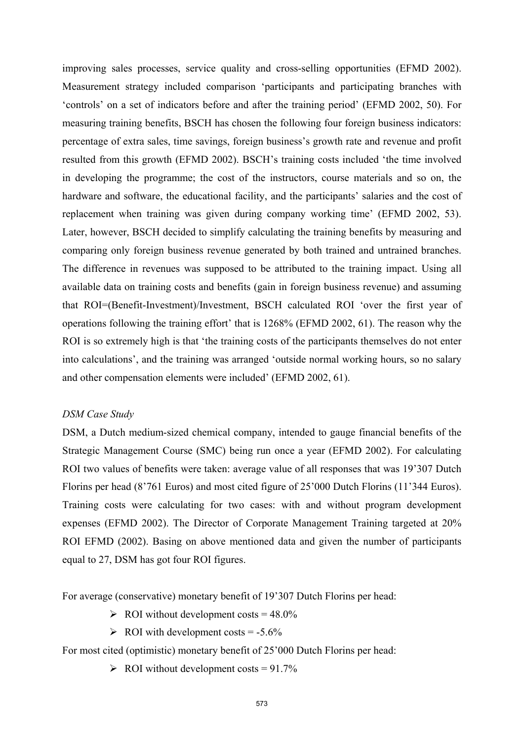improving sales processes, service quality and cross-selling opportunities (EFMD 2002). Measurement strategy included comparison 'participants and participating branches with 'controls' on a set of indicators before and after the training period' (EFMD 2002, 50). For measuring training benefits, BSCH has chosen the following four foreign business indicators: percentage of extra sales, time savings, foreign business's growth rate and revenue and profit resulted from this growth (EFMD 2002). BSCH's training costs included 'the time involved in developing the programme; the cost of the instructors, course materials and so on, the hardware and software, the educational facility, and the participants' salaries and the cost of replacement when training was given during company working time' (EFMD 2002, 53). Later, however, BSCH decided to simplify calculating the training benefits by measuring and comparing only foreign business revenue generated by both trained and untrained branches. The difference in revenues was supposed to be attributed to the training impact. Using all available data on training costs and benefits (gain in foreign business revenue) and assuming that ROI=(Benefit-Investment)/Investment, BSCH calculated ROI 'over the first year of operations following the training effort' that is 1268% (EFMD 2002, 61). The reason why the ROI is so extremely high is that 'the training costs of the participants themselves do not enter into calculations', and the training was arranged 'outside normal working hours, so no salary and other compensation elements were included' (EFMD 2002, 61).

# *DSM Case Study*

DSM, a Dutch medium-sized chemical company, intended to gauge financial benefits of the Strategic Management Course (SMC) being run once a year (EFMD 2002). For calculating ROI two values of benefits were taken: average value of all responses that was 19'307 Dutch Florins per head (8'761 Euros) and most cited figure of 25'000 Dutch Florins (11'344 Euros). Training costs were calculating for two cases: with and without program development expenses (EFMD 2002). The Director of Corporate Management Training targeted at 20% ROI EFMD (2002). Basing on above mentioned data and given the number of participants equal to 27, DSM has got four ROI figures.

For average (conservative) monetary benefit of 19'307 Dutch Florins per head:

 $\triangleright$  ROI without development costs = 48.0%

 $\triangleright$  ROI with development costs = -5.6%

For most cited (optimistic) monetary benefit of 25'000 Dutch Florins per head:

 $\triangleright$  ROI without development costs = 91.7%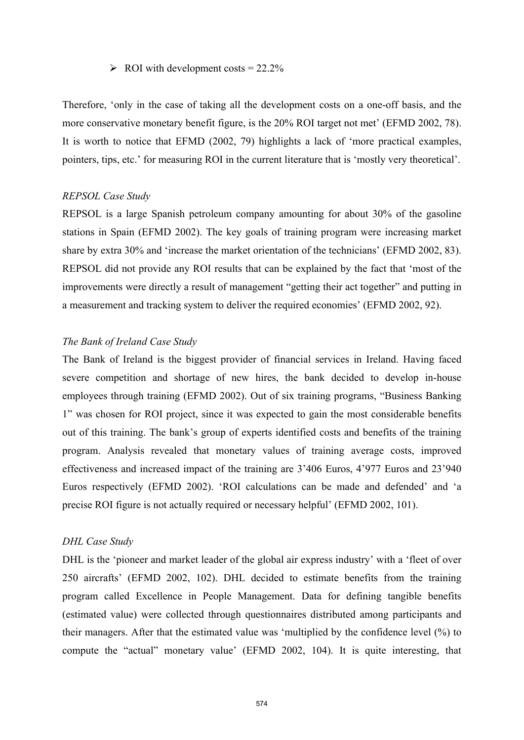# $\triangleright$  ROI with development costs = 22.2%

Therefore, 'only in the case of taking all the development costs on a one-off basis, and the more conservative monetary benefit figure, is the 20% ROI target not met' (EFMD 2002, 78). It is worth to notice that EFMD (2002, 79) highlights a lack of 'more practical examples, pointers, tips, etc.' for measuring ROI in the current literature that is 'mostly very theoretical'.

# *REPSOL Case Study*

REPSOL is a large Spanish petroleum company amounting for about 30% of the gasoline stations in Spain (EFMD 2002). The key goals of training program were increasing market share by extra 30% and 'increase the market orientation of the technicians' (EFMD 2002, 83). REPSOL did not provide any ROI results that can be explained by the fact that 'most of the improvements were directly a result of management "getting their act together" and putting in a measurement and tracking system to deliver the required economies' (EFMD 2002, 92).

# *The Bank of Ireland Case Study*

The Bank of Ireland is the biggest provider of financial services in Ireland. Having faced severe competition and shortage of new hires, the bank decided to develop in-house employees through training (EFMD 2002). Out of six training programs, "Business Banking 1" was chosen for ROI project, since it was expected to gain the most considerable benefits out of this training. The bank's group of experts identified costs and benefits of the training program. Analysis revealed that monetary values of training average costs, improved effectiveness and increased impact of the training are 3'406 Euros, 4'977 Euros and 23'940 Euros respectively (EFMD 2002). 'ROI calculations can be made and defended' and 'a precise ROI figure is not actually required or necessary helpful' (EFMD 2002, 101).

## *DHL Case Study*

DHL is the 'pioneer and market leader of the global air express industry' with a 'fleet of over 250 aircrafts' (EFMD 2002, 102). DHL decided to estimate benefits from the training program called Excellence in People Management. Data for defining tangible benefits (estimated value) were collected through questionnaires distributed among participants and their managers. After that the estimated value was 'multiplied by the confidence level (%) to compute the "actual" monetary value' (EFMD 2002, 104). It is quite interesting, that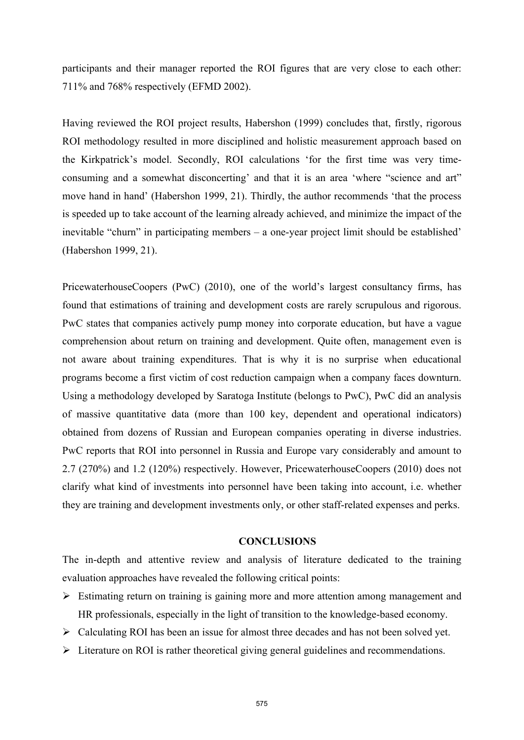participants and their manager reported the ROI figures that are very close to each other: 711% and 768% respectively (EFMD 2002).

Having reviewed the ROI project results, Habershon (1999) concludes that, firstly, rigorous ROI methodology resulted in more disciplined and holistic measurement approach based on the Kirkpatrick's model. Secondly, ROI calculations 'for the first time was very timeconsuming and a somewhat disconcerting' and that it is an area 'where "science and art" move hand in hand' (Habershon 1999, 21). Thirdly, the author recommends 'that the process is speeded up to take account of the learning already achieved, and minimize the impact of the inevitable "churn" in participating members – a one-year project limit should be established' (Habershon 1999, 21).

PricewaterhouseCoopers (PwC) (2010), one of the world's largest consultancy firms, has found that estimations of training and development costs are rarely scrupulous and rigorous. PwC states that companies actively pump money into corporate education, but have a vague comprehension about return on training and development. Quite often, management even is not aware about training expenditures. That is why it is no surprise when educational programs become a first victim of cost reduction campaign when a company faces downturn. Using a methodology developed by Saratoga Institute (belongs to PwC), PwC did an analysis of massive quantitative data (more than 100 key, dependent and operational indicators) obtained from dozens of Russian and European companies operating in diverse industries. PwC reports that ROI into personnel in Russia and Europe vary considerably and amount to 2.7 (270%) and 1.2 (120%) respectively. However, PricewaterhouseCoopers (2010) does not clarify what kind of investments into personnel have been taking into account, i.e. whether they are training and development investments only, or other staff-related expenses and perks.

# **CONCLUSIONS**

The in-depth and attentive review and analysis of literature dedicated to the training evaluation approaches have revealed the following critical points:

- ¾ Estimating return on training is gaining more and more attention among management and HR professionals, especially in the light of transition to the knowledge-based economy.
- $\triangleright$  Calculating ROI has been an issue for almost three decades and has not been solved yet.
- $\triangleright$  Literature on ROI is rather theoretical giving general guidelines and recommendations.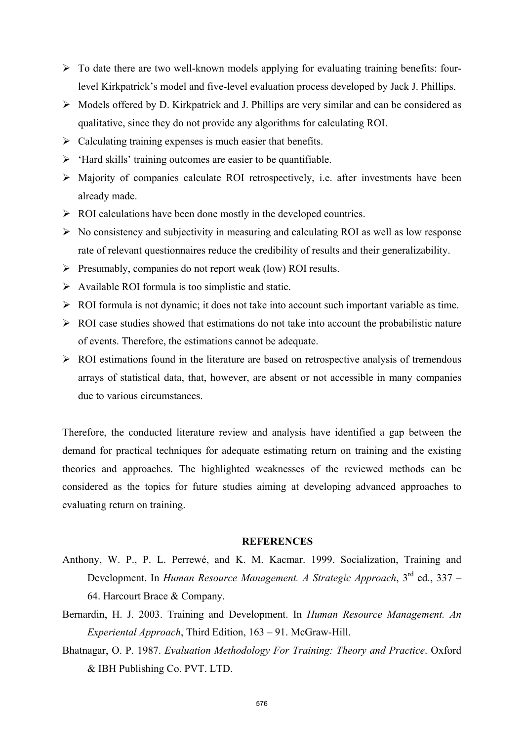- $\triangleright$  To date there are two well-known models applying for evaluating training benefits: fourlevel Kirkpatrick's model and five-level evaluation process developed by Jack J. Phillips.
- $\triangleright$  Models offered by D. Kirkpatrick and J. Phillips are very similar and can be considered as qualitative, since they do not provide any algorithms for calculating ROI.
- $\triangleright$  Calculating training expenses is much easier that benefits.
- $\triangleright$  'Hard skills' training outcomes are easier to be quantifiable.
- $\triangleright$  Majority of companies calculate ROI retrospectively, i.e. after investments have been already made.
- $\triangleright$  ROI calculations have been done mostly in the developed countries.
- $\triangleright$  No consistency and subjectivity in measuring and calculating ROI as well as low response rate of relevant questionnaires reduce the credibility of results and their generalizability.
- $\triangleright$  Presumably, companies do not report weak (low) ROI results.
- $\triangleright$  Available ROI formula is too simplistic and static.
- $\triangleright$  ROI formula is not dynamic; it does not take into account such important variable as time.
- $\triangleright$  ROI case studies showed that estimations do not take into account the probabilistic nature of events. Therefore, the estimations cannot be adequate.
- $\triangleright$  ROI estimations found in the literature are based on retrospective analysis of tremendous arrays of statistical data, that, however, are absent or not accessible in many companies due to various circumstances.

Therefore, the conducted literature review and analysis have identified a gap between the demand for practical techniques for adequate estimating return on training and the existing theories and approaches. The highlighted weaknesses of the reviewed methods can be considered as the topics for future studies aiming at developing advanced approaches to evaluating return on training.

# **REFERENCES**

- Anthony, W. P., P. L. Perrewé, and K. M. Kacmar. 1999. Socialization, Training and Development. In *Human Resource Management. A Strategic Approach*, 3rd ed., 337 – 64. Harcourt Brace & Company.
- Bernardin, H. J. 2003. Training and Development. In *Human Resource Management. An Experiental Approach*, Third Edition, 163 – 91. McGraw-Hill.
- Bhatnagar, O. P. 1987. *Evaluation Methodology For Training: Theory and Practice*. Oxford & IBH Publishing Co. PVT. LTD.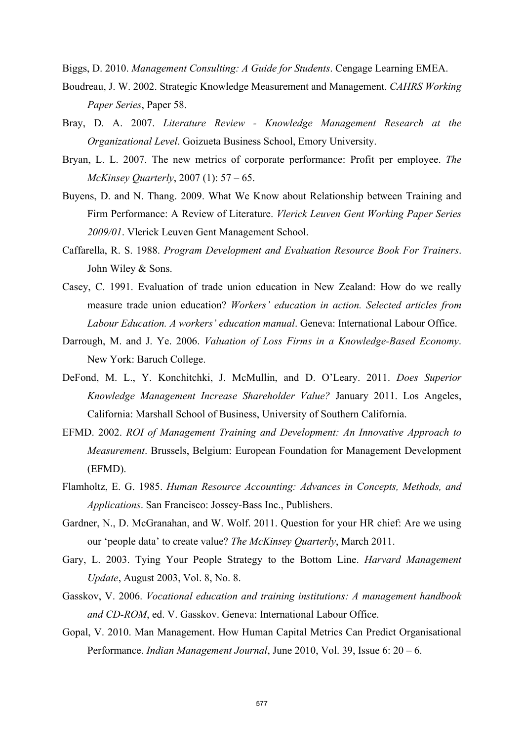Biggs, D. 2010. *Management Consulting: A Guide for Students*. Cengage Learning EMEA.

- Boudreau, J. W. 2002. Strategic Knowledge Measurement and Management. *CAHRS Working Paper Series*, Paper 58.
- Bray, D. A. 2007. *Literature Review Knowledge Management Research at the Organizational Level*. Goizueta Business School, Emory University.
- Bryan, L. L. 2007. The new metrics of corporate performance: Profit per employee. *The McKinsey Quarterly*, 2007 (1): 57 – 65.
- Buyens, D. and N. Thang. 2009. What We Know about Relationship between Training and Firm Performance: A Review of Literature. *Vlerick Leuven Gent Working Paper Series 2009/01*. Vlerick Leuven Gent Management School.
- Caffarella, R. S. 1988. *Program Development and Evaluation Resource Book For Trainers*. John Wiley & Sons.
- Casey, C. 1991. Evaluation of trade union education in New Zealand: How do we really measure trade union education? *Workers' education in action. Selected articles from Labour Education. A workers' education manual*. Geneva: International Labour Office.
- Darrough, M. and J. Ye. 2006. *Valuation of Loss Firms in a Knowledge-Based Economy*. New York: Baruch College.
- DeFond, M. L., Y. Konchitchki, J. McMullin, and D. O'Leary. 2011. *Does Superior Knowledge Management Increase Shareholder Value?* January 2011. Los Angeles, California: Marshall School of Business, University of Southern California.
- EFMD. 2002. *ROI of Management Training and Development: An Innovative Approach to Measurement*. Brussels, Belgium: European Foundation for Management Development (EFMD).
- Flamholtz, E. G. 1985. *Human Resource Accounting: Advances in Concepts, Methods, and Applications*. San Francisco: Jossey-Bass Inc., Publishers.
- Gardner, N., D. McGranahan, and W. Wolf. 2011. Question for your HR chief: Are we using our 'people data' to create value? *The McKinsey Quarterly*, March 2011.
- Gary, L. 2003. Tying Your People Strategy to the Bottom Line. *Harvard Management Update*, August 2003, Vol. 8, No. 8.
- Gasskov, V. 2006. *Vocational education and training institutions: A management handbook and CD-ROM*, ed. V. Gasskov. Geneva: International Labour Office.
- Gopal, V. 2010. Man Management. How Human Capital Metrics Can Predict Organisational Performance. *Indian Management Journal*, June 2010, Vol. 39, Issue 6: 20 – 6.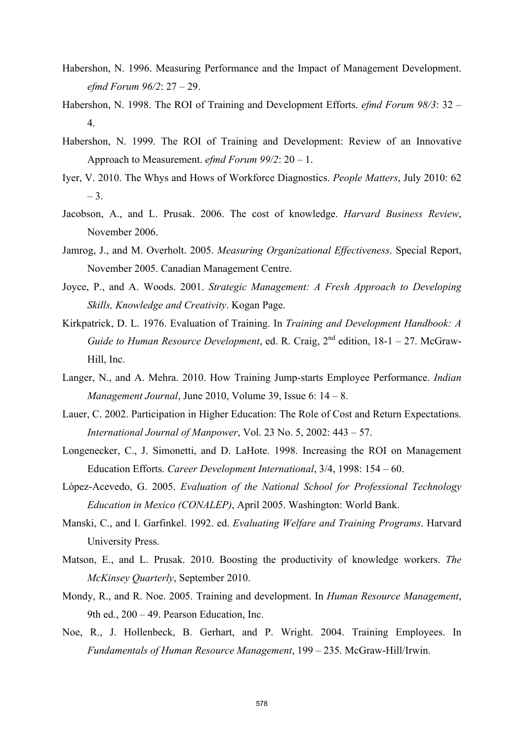- Habershon, N. 1996. Measuring Performance and the Impact of Management Development. *efmd Forum 96/2*: 27 – 29.
- Habershon, N. 1998. The ROI of Training and Development Efforts. *efmd Forum 98/3*: 32 4.
- Habershon, N. 1999. The ROI of Training and Development: Review of an Innovative Approach to Measurement. *efmd Forum 99/2*: 20 – 1.
- Iyer, V. 2010. The Whys and Hows of Workforce Diagnostics. *People Matters*, July 2010: 62 – 3.
- Jacobson, A., and L. Prusak. 2006. The cost of knowledge. *Harvard Business Review*, November 2006.
- Jamrog, J., and M. Overholt. 2005. *Measuring Organizational Effectiveness*. Special Report, November 2005. Canadian Management Centre.
- Joyce, P., and A. Woods. 2001. *Strategic Management: A Fresh Approach to Developing Skills, Knowledge and Creativity*. Kogan Page.
- Kirkpatrick, D. L. 1976. Evaluation of Training. In *Training and Development Handbook: A Guide to Human Resource Development*, ed. R. Craig,  $2^{nd}$  edition,  $18-1-27$ . McGraw-Hill, Inc.
- Langer, N., and A. Mehra. 2010. How Training Jump-starts Employee Performance. *Indian Management Journal*, June 2010, Volume 39, Issue 6: 14 – 8.
- Lauer, C. 2002. Participation in Higher Education: The Role of Cost and Return Expectations. *International Journal of Manpower*, Vol. 23 No. 5, 2002: 443 – 57.
- Longenecker, C., J. Simonetti, and D. LaHote. 1998. Increasing the ROI on Management Education Efforts. *Career Development International*, 3/4, 1998: 154 – 60.
- López-Acevedo, G. 2005. *Evaluation of the National School for Professional Technology Education in Mexico (CONALEP)*, April 2005. Washington: World Bank.
- Manski, C., and I. Garfinkel. 1992. ed. *Evaluating Welfare and Training Programs*. Harvard University Press.
- Matson, E., and L. Prusak. 2010. Boosting the productivity of knowledge workers. *The McKinsey Quarterly*, September 2010.
- Mondy, R., and R. Noe. 2005. Training and development. In *Human Resource Management*, 9th ed., 200 – 49. Pearson Education, Inc.
- Noe, R., J. Hollenbeck, B. Gerhart, and P. Wright. 2004. Training Employees. In *Fundamentals of Human Resource Management*, 199 – 235. McGraw-Hill/Irwin.